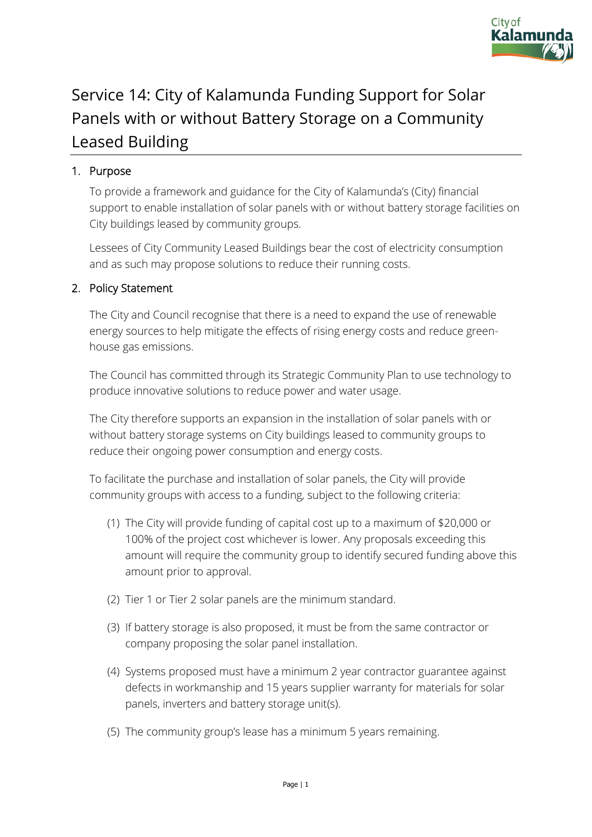

## Service 14: City of Kalamunda Funding Support for Solar Panels with or without Battery Storage on a Community Leased Building

## 1. Purpose

To provide a framework and guidance for the City of Kalamunda's (City) financial support to enable installation of solar panels with or without battery storage facilities on City buildings leased by community groups.

Lessees of City Community Leased Buildings bear the cost of electricity consumption and as such may propose solutions to reduce their running costs.

## 2. Policy Statement

The City and Council recognise that there is a need to expand the use of renewable energy sources to help mitigate the effects of rising energy costs and reduce greenhouse gas emissions.

The Council has committed through its Strategic Community Plan to use technology to produce innovative solutions to reduce power and water usage.

The City therefore supports an expansion in the installation of solar panels with or without battery storage systems on City buildings leased to community groups to reduce their ongoing power consumption and energy costs.

To facilitate the purchase and installation of solar panels, the City will provide community groups with access to a funding, subject to the following criteria:

- (1) The City will provide funding of capital cost up to a maximum of \$20,000 or 100% of the project cost whichever is lower. Any proposals exceeding this amount will require the community group to identify secured funding above this amount prior to approval.
- (2) Tier 1 or Tier 2 solar panels are the minimum standard.
- (3) If battery storage is also proposed, it must be from the same contractor or company proposing the solar panel installation.
- (4) Systems proposed must have a minimum 2 year contractor guarantee against defects in workmanship and 15 years supplier warranty for materials for solar panels, inverters and battery storage unit(s).
- (5) The community group's lease has a minimum 5 years remaining.